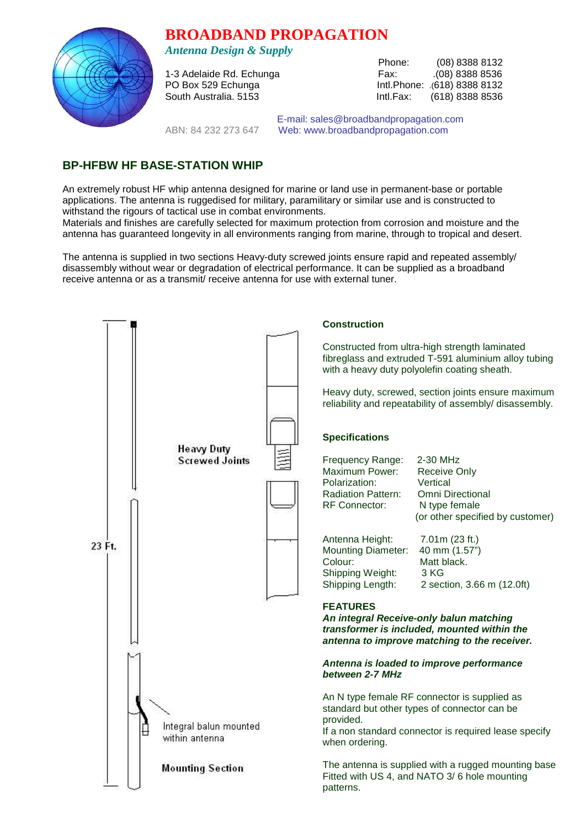## **BROADBAND PROPAGATION**



*Antenna Design & Supply* 

Phone: (08) 8388 8132<br>Fax: (08) 8388 8536 1-3 Adelaide Rd. Echunga Fax: .(08) 8388 8536 PO Box 529 Echunga Intl.Phone: .(618) 8388 8132 South Australia. 5153 **Intl.Fax:** (618) 8388 8536

 E-mail: sales@broadbandpropagation.com ABN: 84 232 273 647 Web: www.broadbandpropagation.com

## **BP-HFBW HF BASE-STATION WHIP**

An extremely robust HF whip antenna designed for marine or land use in permanent-base or portable applications. The antenna is ruggedised for military, paramilitary or similar use and is constructed to withstand the rigours of tactical use in combat environments.

Materials and finishes are carefully selected for maximum protection from corrosion and moisture and the antenna has guaranteed longevity in all environments ranging from marine, through to tropical and desert.

The antenna is supplied in two sections Heavy-duty screwed joints ensure rapid and repeated assembly/ disassembly without wear or degradation of electrical performance. It can be supplied as a broadband receive antenna or as a transmit/ receive antenna for use with external tuner.